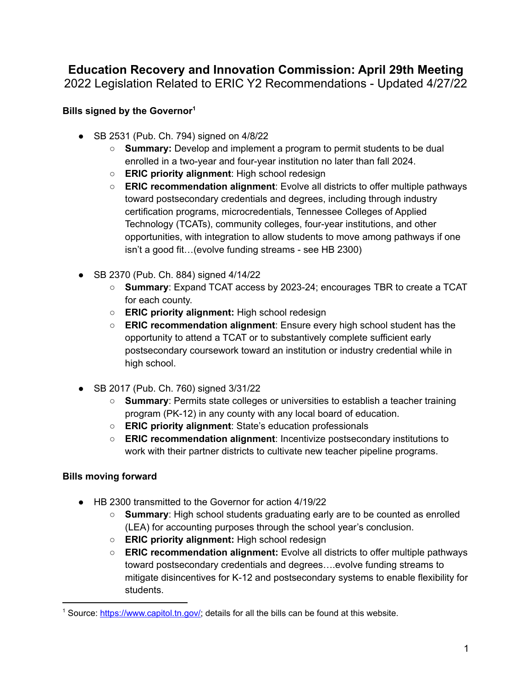# **Education Recovery and Innovation Commission: April 29th Meeting** 2022 Legislation Related to ERIC Y2 Recommendations - Updated 4/27/22

## **Bills signed by the Governor 1**

- SB 2531 (Pub. Ch. 794) signed on 4/8/22
	- **Summary:** Develop and implement a program to permit students to be dual enrolled in a two-year and four-year institution no later than fall 2024.
	- **ERIC priority alignment**: High school redesign
	- **ERIC recommendation alignment**: Evolve all districts to offer multiple pathways toward postsecondary credentials and degrees, including through industry certification programs, microcredentials, Tennessee Colleges of Applied Technology (TCATs), community colleges, four-year institutions, and other opportunities, with integration to allow students to move among pathways if one isn't a good fit…(evolve funding streams - see HB 2300)
- SB 2370 (Pub. Ch. 884) signed 4/14/22
	- **Summary**: Expand TCAT access by 2023-24; encourages TBR to create a TCAT for each county.
	- **ERIC priority alignment:** High school redesign
	- **ERIC recommendation alignment**: Ensure every high school student has the opportunity to attend a TCAT or to substantively complete sufficient early postsecondary coursework toward an institution or industry credential while in high school.
- SB 2017 (Pub. Ch. 760) signed 3/31/22
	- **Summary**: Permits state colleges or universities to establish a teacher training program (PK-12) in any county with any local board of education.
	- **ERIC priority alignment**: State's education professionals
	- **ERIC recommendation alignment**: Incentivize postsecondary institutions to work with their partner districts to cultivate new teacher pipeline programs.

### **Bills moving forward**

- HB 2300 transmitted to the Governor for action 4/19/22
	- **Summary**: High school students graduating early are to be counted as enrolled (LEA) for accounting purposes through the school year's conclusion.
	- **○ ERIC priority alignment:** High school redesign
	- **○ ERIC recommendation alignment:** Evolve all districts to offer multiple pathways toward postsecondary credentials and degrees….evolve funding streams to mitigate disincentives for K-12 and postsecondary systems to enable flexibility for students.

<sup>&</sup>lt;sup>1</sup> Source: [https://www.capitol.tn.gov/;](https://www.capitol.tn.gov/) details for all the bills can be found at this website.